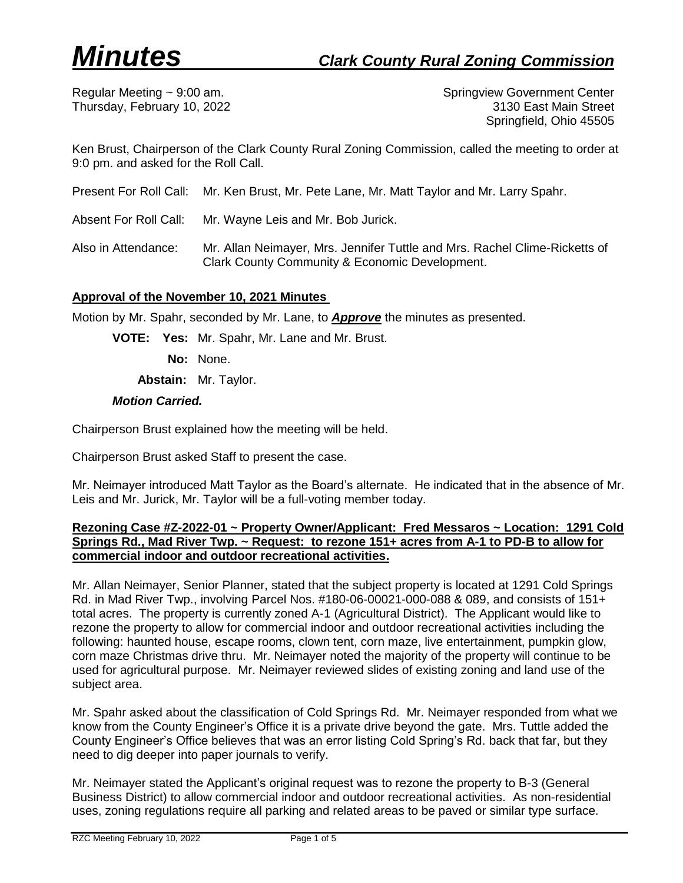Regular Meeting ~ 9:00 am. Springview Government Center Thursday, February 10, 2022 3130 East Main Street Springfield, Ohio 45505

Ken Brust, Chairperson of the Clark County Rural Zoning Commission, called the meeting to order at 9:0 pm. and asked for the Roll Call.

Present For Roll Call: Mr. Ken Brust, Mr. Pete Lane, Mr. Matt Taylor and Mr. Larry Spahr.

Absent For Roll Call: Mr. Wayne Leis and Mr. Bob Jurick.

Also in Attendance: Mr. Allan Neimayer, Mrs. Jennifer Tuttle and Mrs. Rachel Clime-Ricketts of Clark County Community & Economic Development.

# **Approval of the November 10, 2021 Minutes**

Motion by Mr. Spahr, seconded by Mr. Lane, to *Approve* the minutes as presented.

**VOTE: Yes:** Mr. Spahr, Mr. Lane and Mr. Brust.

**No:** None.

**Abstain:** Mr. Taylor.

### *Motion Carried.*

Chairperson Brust explained how the meeting will be held.

Chairperson Brust asked Staff to present the case.

Mr. Neimayer introduced Matt Taylor as the Board's alternate. He indicated that in the absence of Mr. Leis and Mr. Jurick, Mr. Taylor will be a full-voting member today.

## **Rezoning Case #Z-2022-01 ~ Property Owner/Applicant: Fred Messaros ~ Location: 1291 Cold Springs Rd., Mad River Twp. ~ Request: to rezone 151+ acres from A-1 to PD-B to allow for commercial indoor and outdoor recreational activities.**

Mr. Allan Neimayer, Senior Planner, stated that the subject property is located at 1291 Cold Springs Rd. in Mad River Twp., involving Parcel Nos. #180-06-00021-000-088 & 089, and consists of 151+ total acres. The property is currently zoned A-1 (Agricultural District). The Applicant would like to rezone the property to allow for commercial indoor and outdoor recreational activities including the following: haunted house, escape rooms, clown tent, corn maze, live entertainment, pumpkin glow, corn maze Christmas drive thru. Mr. Neimayer noted the majority of the property will continue to be used for agricultural purpose. Mr. Neimayer reviewed slides of existing zoning and land use of the subject area.

Mr. Spahr asked about the classification of Cold Springs Rd. Mr. Neimayer responded from what we know from the County Engineer's Office it is a private drive beyond the gate. Mrs. Tuttle added the County Engineer's Office believes that was an error listing Cold Spring's Rd. back that far, but they need to dig deeper into paper journals to verify.

Mr. Neimayer stated the Applicant's original request was to rezone the property to B-3 (General Business District) to allow commercial indoor and outdoor recreational activities. As non-residential uses, zoning regulations require all parking and related areas to be paved or similar type surface.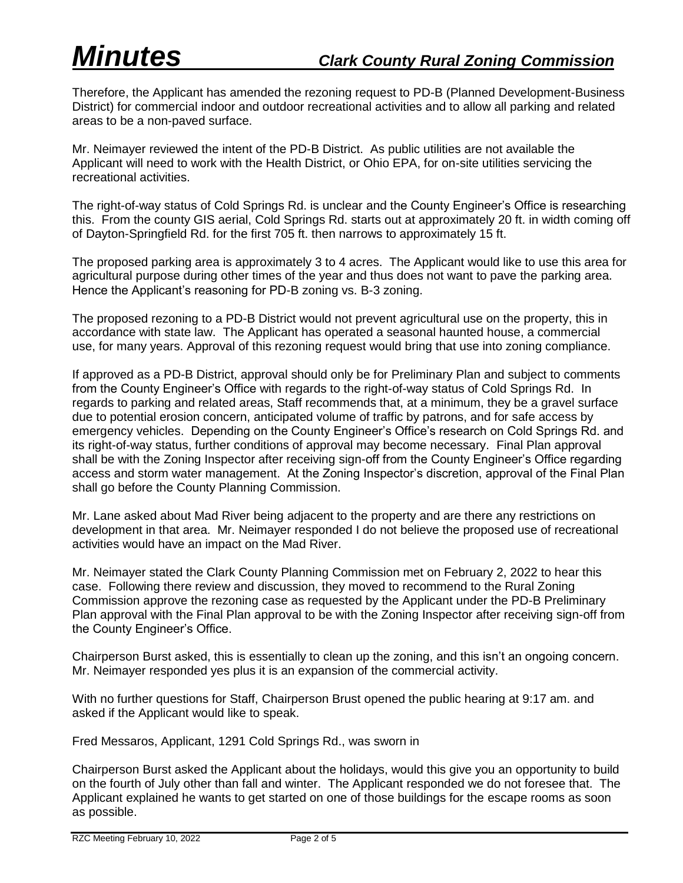Therefore, the Applicant has amended the rezoning request to PD-B (Planned Development-Business District) for commercial indoor and outdoor recreational activities and to allow all parking and related areas to be a non-paved surface.

Mr. Neimayer reviewed the intent of the PD-B District. As public utilities are not available the Applicant will need to work with the Health District, or Ohio EPA, for on-site utilities servicing the recreational activities.

The right-of-way status of Cold Springs Rd. is unclear and the County Engineer's Office is researching this. From the county GIS aerial, Cold Springs Rd. starts out at approximately 20 ft. in width coming off of Dayton-Springfield Rd. for the first 705 ft. then narrows to approximately 15 ft.

The proposed parking area is approximately 3 to 4 acres. The Applicant would like to use this area for agricultural purpose during other times of the year and thus does not want to pave the parking area. Hence the Applicant's reasoning for PD-B zoning vs. B-3 zoning.

The proposed rezoning to a PD-B District would not prevent agricultural use on the property, this in accordance with state law. The Applicant has operated a seasonal haunted house, a commercial use, for many years. Approval of this rezoning request would bring that use into zoning compliance.

If approved as a PD-B District, approval should only be for Preliminary Plan and subject to comments from the County Engineer's Office with regards to the right-of-way status of Cold Springs Rd. In regards to parking and related areas, Staff recommends that, at a minimum, they be a gravel surface due to potential erosion concern, anticipated volume of traffic by patrons, and for safe access by emergency vehicles. Depending on the County Engineer's Office's research on Cold Springs Rd. and its right-of-way status, further conditions of approval may become necessary. Final Plan approval shall be with the Zoning Inspector after receiving sign-off from the County Engineer's Office regarding access and storm water management. At the Zoning Inspector's discretion, approval of the Final Plan shall go before the County Planning Commission.

Mr. Lane asked about Mad River being adjacent to the property and are there any restrictions on development in that area. Mr. Neimayer responded I do not believe the proposed use of recreational activities would have an impact on the Mad River.

Mr. Neimayer stated the Clark County Planning Commission met on February 2, 2022 to hear this case. Following there review and discussion, they moved to recommend to the Rural Zoning Commission approve the rezoning case as requested by the Applicant under the PD-B Preliminary Plan approval with the Final Plan approval to be with the Zoning Inspector after receiving sign-off from the County Engineer's Office.

Chairperson Burst asked, this is essentially to clean up the zoning, and this isn't an ongoing concern. Mr. Neimayer responded yes plus it is an expansion of the commercial activity.

With no further questions for Staff, Chairperson Brust opened the public hearing at 9:17 am. and asked if the Applicant would like to speak.

Fred Messaros, Applicant, 1291 Cold Springs Rd., was sworn in

Chairperson Burst asked the Applicant about the holidays, would this give you an opportunity to build on the fourth of July other than fall and winter. The Applicant responded we do not foresee that. The Applicant explained he wants to get started on one of those buildings for the escape rooms as soon as possible.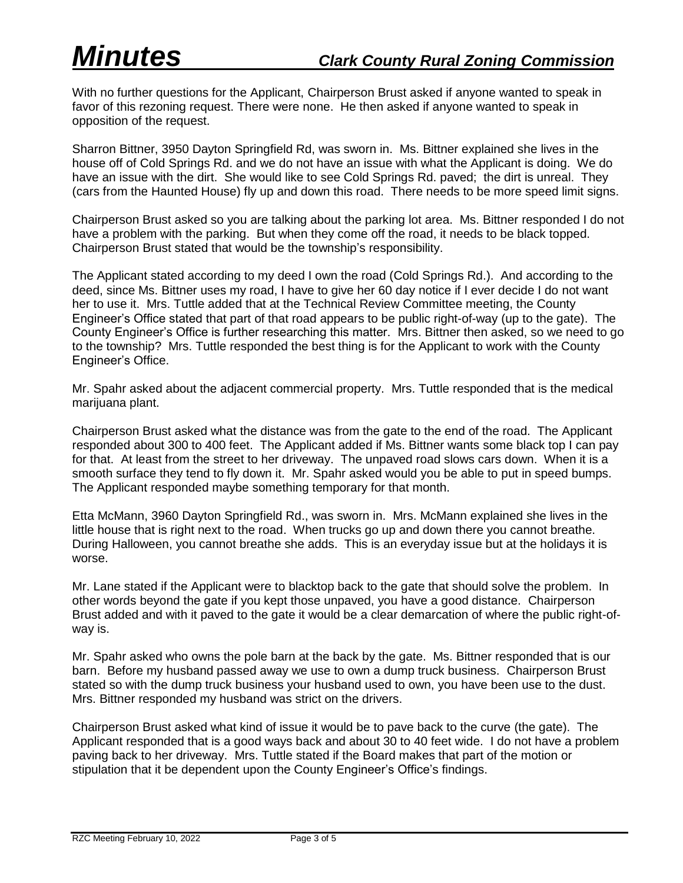With no further questions for the Applicant, Chairperson Brust asked if anyone wanted to speak in favor of this rezoning request. There were none. He then asked if anyone wanted to speak in opposition of the request.

Sharron Bittner, 3950 Dayton Springfield Rd, was sworn in. Ms. Bittner explained she lives in the house off of Cold Springs Rd. and we do not have an issue with what the Applicant is doing. We do have an issue with the dirt. She would like to see Cold Springs Rd. paved; the dirt is unreal. They (cars from the Haunted House) fly up and down this road. There needs to be more speed limit signs.

Chairperson Brust asked so you are talking about the parking lot area. Ms. Bittner responded I do not have a problem with the parking. But when they come off the road, it needs to be black topped. Chairperson Brust stated that would be the township's responsibility.

The Applicant stated according to my deed I own the road (Cold Springs Rd.). And according to the deed, since Ms. Bittner uses my road, I have to give her 60 day notice if I ever decide I do not want her to use it. Mrs. Tuttle added that at the Technical Review Committee meeting, the County Engineer's Office stated that part of that road appears to be public right-of-way (up to the gate). The County Engineer's Office is further researching this matter. Mrs. Bittner then asked, so we need to go to the township? Mrs. Tuttle responded the best thing is for the Applicant to work with the County Engineer's Office.

Mr. Spahr asked about the adjacent commercial property. Mrs. Tuttle responded that is the medical marijuana plant.

Chairperson Brust asked what the distance was from the gate to the end of the road. The Applicant responded about 300 to 400 feet. The Applicant added if Ms. Bittner wants some black top I can pay for that. At least from the street to her driveway. The unpaved road slows cars down. When it is a smooth surface they tend to fly down it. Mr. Spahr asked would you be able to put in speed bumps. The Applicant responded maybe something temporary for that month.

Etta McMann, 3960 Dayton Springfield Rd., was sworn in. Mrs. McMann explained she lives in the little house that is right next to the road. When trucks go up and down there you cannot breathe. During Halloween, you cannot breathe she adds. This is an everyday issue but at the holidays it is worse.

Mr. Lane stated if the Applicant were to blacktop back to the gate that should solve the problem. In other words beyond the gate if you kept those unpaved, you have a good distance. Chairperson Brust added and with it paved to the gate it would be a clear demarcation of where the public right-ofway is.

Mr. Spahr asked who owns the pole barn at the back by the gate. Ms. Bittner responded that is our barn. Before my husband passed away we use to own a dump truck business. Chairperson Brust stated so with the dump truck business your husband used to own, you have been use to the dust. Mrs. Bittner responded my husband was strict on the drivers.

Chairperson Brust asked what kind of issue it would be to pave back to the curve (the gate). The Applicant responded that is a good ways back and about 30 to 40 feet wide. I do not have a problem paving back to her driveway. Mrs. Tuttle stated if the Board makes that part of the motion or stipulation that it be dependent upon the County Engineer's Office's findings.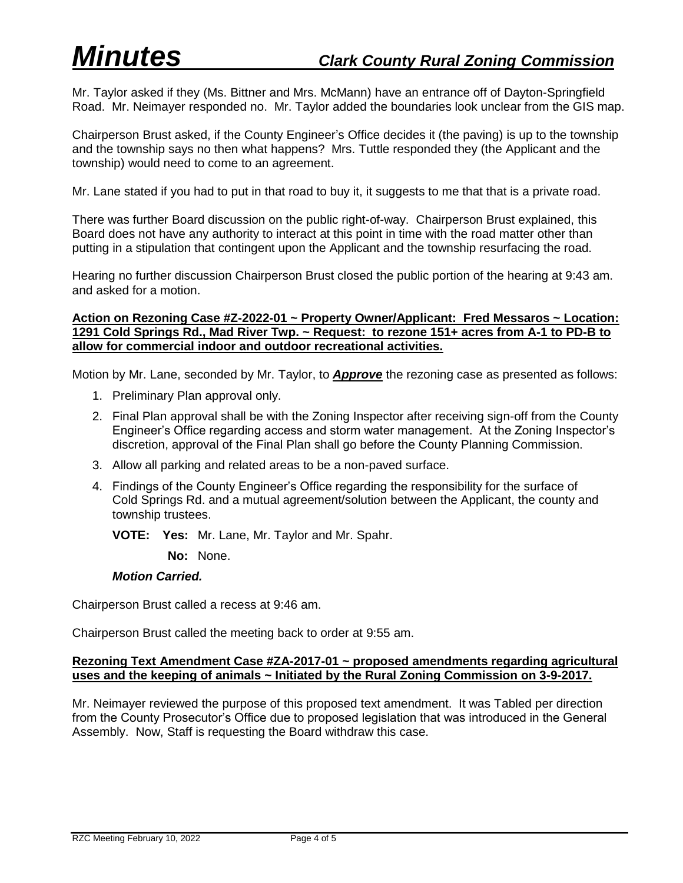Mr. Taylor asked if they (Ms. Bittner and Mrs. McMann) have an entrance off of Dayton-Springfield Road. Mr. Neimayer responded no. Mr. Taylor added the boundaries look unclear from the GIS map.

Chairperson Brust asked, if the County Engineer's Office decides it (the paving) is up to the township and the township says no then what happens? Mrs. Tuttle responded they (the Applicant and the township) would need to come to an agreement.

Mr. Lane stated if you had to put in that road to buy it, it suggests to me that that is a private road.

There was further Board discussion on the public right-of-way. Chairperson Brust explained, this Board does not have any authority to interact at this point in time with the road matter other than putting in a stipulation that contingent upon the Applicant and the township resurfacing the road.

Hearing no further discussion Chairperson Brust closed the public portion of the hearing at 9:43 am. and asked for a motion.

# **Action on Rezoning Case #Z-2022-01 ~ Property Owner/Applicant: Fred Messaros ~ Location: 1291 Cold Springs Rd., Mad River Twp. ~ Request: to rezone 151+ acres from A-1 to PD-B to allow for commercial indoor and outdoor recreational activities.**

Motion by Mr. Lane, seconded by Mr. Taylor, to *Approve* the rezoning case as presented as follows:

- 1. Preliminary Plan approval only.
- 2. Final Plan approval shall be with the Zoning Inspector after receiving sign-off from the County Engineer's Office regarding access and storm water management. At the Zoning Inspector's discretion, approval of the Final Plan shall go before the County Planning Commission.
- 3. Allow all parking and related areas to be a non-paved surface.
- 4. Findings of the County Engineer's Office regarding the responsibility for the surface of Cold Springs Rd. and a mutual agreement/solution between the Applicant, the county and township trustees.

**VOTE: Yes:** Mr. Lane, Mr. Taylor and Mr. Spahr.

**No:** None.

### *Motion Carried.*

Chairperson Brust called a recess at 9:46 am.

Chairperson Brust called the meeting back to order at 9:55 am.

## **Rezoning Text Amendment Case #ZA-2017-01 ~ proposed amendments regarding agricultural uses and the keeping of animals ~ Initiated by the Rural Zoning Commission on 3-9-2017.**

Mr. Neimayer reviewed the purpose of this proposed text amendment. It was Tabled per direction from the County Prosecutor's Office due to proposed legislation that was introduced in the General Assembly. Now, Staff is requesting the Board withdraw this case.